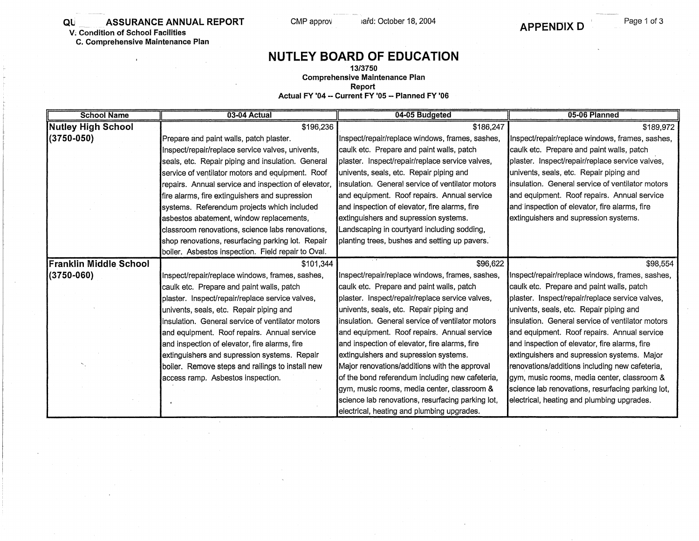**QU.** ASSURANCE ANNUAL REPORT

**V; Condition of School Facilities** 

**C. Comprehensive Maintenance Plan** 

 $\ddot{\phantom{a}}$ 

## **NUTLEY BOARD OF EDUCATION**

CMP approv afd: October 18, 2004

**13/3750 Comprehensive Maintenance Plan** 

**Report** 

**Actual FY '04 - Current FY '05 •• Planned FY '06** 

| <b>School Name</b>        | 03-04 Actual                                        | 04-05 Budgeted                                    | 05-06 Planned                                     |
|---------------------------|-----------------------------------------------------|---------------------------------------------------|---------------------------------------------------|
| <b>Nutley High School</b> | \$196,236                                           | \$186,247                                         | \$189,972                                         |
| (3750-050)                | Prepare and paint walls, patch plaster.             | Inspect/repair/replace windows, frames, sashes,   | Inspect/repair/replace windows, frames, sashes,   |
|                           | Inspect/repair/replace service valves, univents,    | caulk etc. Prepare and paint walls, patch         | caulk etc. Prepare and paint walls, patch         |
|                           | seals, etc. Repair piping and insulation. General   | plaster. Inspect/repair/replace service valves,   | plaster. Inspect/repair/replace service valves,   |
|                           | service of ventilator motors and equipment. Roof    | univents, seals, etc. Repair piping and           | univents, seals, etc. Repair piping and           |
|                           | repairs. Annual service and inspection of elevator, | insulation. General service of ventilator motors  | linsulation. General service of ventilator motors |
|                           | fire alarms, fire extinguishers and supression      | and equipment. Roof repairs. Annual service       | and equipment. Roof repairs. Annual service       |
|                           | systems. Referendum projects which included         | and inspection of elevator, fire alarms, fire     | and inspection of elevator, fire alarms, fire     |
|                           | asbestos abatement, window replacements,            | extinguishers and supression systems.             | extinguishers and supression systems.             |
|                           | classroom renovations, science labs renovations,    | Landscaping in courtyard including sodding,       |                                                   |
|                           | shop renovations, resurfacing parking lot. Repair   | planting trees, bushes and setting up pavers.     |                                                   |
|                           | boiler. Asbestos inspection. Field repair to Oval.  |                                                   |                                                   |
| Franklin Middle School    | \$101,344                                           | \$96,622                                          | \$98,554                                          |
| $(3750 - 060)$            | Inspect/repair/replace windows, frames, sashes,     | Inspect/repair/replace windows, frames, sashes,   | Inspect/repair/replace windows, frames, sashes,   |
|                           | caulk etc. Prepare and paint walls, patch           | caulk etc. Prepare and paint walls, patch         | caulk etc. Prepare and paint walls, patch         |
|                           | plaster. Inspect/repair/replace service valves,     | plaster. Inspect/repair/replace service valves,   | plaster. Inspect/repair/replace service valves,   |
|                           | univents, seals, etc. Repair piping and             | univents, seals, etc. Repair piping and           | univents, seals, etc. Repair piping and           |
|                           | insulation. General service of ventilator motors    | insulation. General service of ventilator motors  | linsulation. General service of ventilator motors |
|                           | and equipment. Roof repairs. Annual service         | and equipment. Roof repairs. Annual service       | and equipment. Roof repairs. Annual service       |
|                           | and inspection of elevator, fire alarms, fire       | and inspection of elevator, fire alarms, fire     | and inspection of elevator, fire alarms, fire     |
|                           | extinguishers and supression systems. Repair        | extinguishers and supression systems.             | extinguishers and supression systems. Major       |
|                           | boiler. Remove steps and railings to install new    | Major renovations/additions with the approval     | renovations/additions including new cafeteria,    |
|                           | access ramp. Asbestos inspection.                   | of the bond referendum including new cafeteria,   | gym, music rooms, media center, classroom &       |
|                           |                                                     | gym, music rooms, media center, classroom &       | science lab renovations, resurfacing parking lot, |
|                           |                                                     | science lab renovations, resurfacing parking lot, | electrical, heating and plumbing upgrades.        |
|                           |                                                     | electrical, heating and plumbing upgrades.        |                                                   |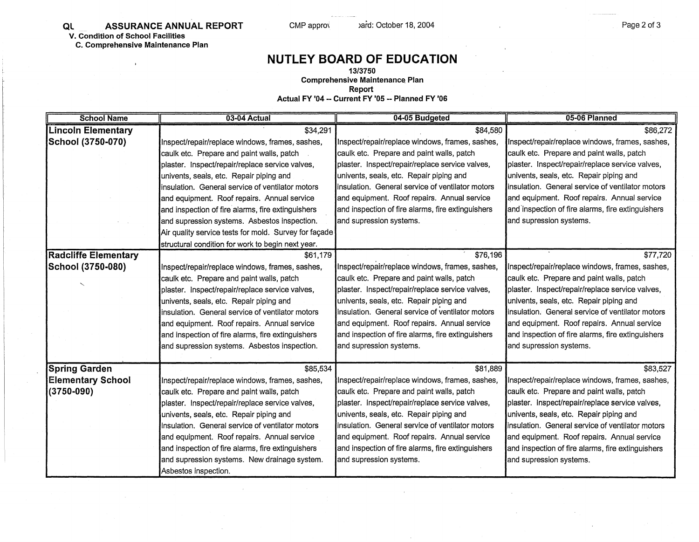**Ql** \_\_ \_\_ **ASSURANCE ANNUAL REPORT V. Condition of School Facilities** 

**C. Comprehensive Maintenance Plan** 

 $\overline{1}$ 

## **NUTLEY BOARD OF EDUCATION**

CMP appro $\sqrt{}$  )ard: October 18, 2004

**13/3750** 

**Comprehensive Maintenance. Plan** 

**Report** 

**Actual FY '04 •• Current FY '05 •• Planned FY '06** 

| <b>School Name</b>          | 03-04 Actual                                          | 04-05 Budgeted                                    | 05-06 Planned                                     |
|-----------------------------|-------------------------------------------------------|---------------------------------------------------|---------------------------------------------------|
| <b>Lincoln Elementary</b>   | \$34,291                                              | \$84,580                                          | \$86,272                                          |
| School (3750-070)           | Inspect/repair/replace windows, frames, sashes,       | Inspect/repair/replace windows, frames, sashes,   | Inspect/repair/replace windows, frames, sashes,   |
|                             | caulk etc. Prepare and paint walls, patch             | caulk etc. Prepare and paint walls, patch         | caulk etc. Prepare and paint walls, patch         |
|                             | plaster. Inspect/repair/replace service valves,       | plaster. Inspect/repair/replace service valves,   | plaster. Inspect/repair/replace service valves,   |
|                             | univents, seals, etc. Repair piping and               | univents, seals, etc. Repair piping and           | univents, seals, etc. Repair piping and           |
|                             | linsulation. General service of ventilator motors     | linsulation. General service of ventilator motors | insulation. General service of ventilator motors  |
|                             | and equipment. Roof repairs. Annual service           | and equipment. Roof repairs. Annual service       | and equipment. Roof repairs. Annual service       |
|                             | and inspection of fire alarms, fire extinguishers     | and inspection of fire alarms, fire extinguishers | and inspection of fire alarms, fire extinguishers |
|                             | and supression systems. Asbestos inspection.          | and supression systems.                           | and supression systems.                           |
|                             | Air quality service tests for mold. Survey for façade |                                                   |                                                   |
|                             | structural condition for work to begin next year.     |                                                   |                                                   |
| <b>Radcliffe Elementary</b> | \$61,179                                              | \$76,196                                          | \$77,720                                          |
| School (3750-080)           | Inspect/repair/replace windows, frames, sashes,       | Inspect/repair/replace windows, frames, sashes,   | Inspect/repair/replace windows, frames, sashes,   |
|                             | caulk etc. Prepare and paint walls, patch             | caulk etc. Prepare and paint walls, patch         | caulk etc. Prepare and paint walls, patch         |
|                             | plaster. Inspect/repair/replace service valves,       | plaster. Inspect/repair/replace service valves,   | plaster. Inspect/repair/replace service valves,   |
|                             | univents, seals, etc. Repair piping and               | univents, seals, etc. Repair piping and           | univents, seals, etc. Repair piping and           |
|                             | insulation. General service of ventilator motors      | insulation. General service of ventilator motors  | insulation. General service of ventilator motors  |
|                             | and equipment. Roof repairs. Annual service           | and equipment. Roof repairs. Annual service       | and equipment. Roof repairs. Annual service       |
|                             | and inspection of fire alarms, fire extinguishers     | and inspection of fire alarms, fire extinguishers | and inspection of fire alarms, fire extinguishers |
|                             | and supression systems. Asbestos inspection.          | and supression systems.                           | and supression systems.                           |
|                             |                                                       |                                                   |                                                   |
| <b>Spring Garden</b>        | \$85,534                                              | \$81,889                                          | \$83,527                                          |
| <b>Elementary School</b>    | Inspect/repair/replace windows, frames, sashes,       | Inspect/repair/replace windows, frames, sashes,   | Inspect/repair/replace windows, frames, sashes,   |
| $(3750 - 090)$              | caulk etc. Prepare and paint walls, patch             | caulk etc. Prepare and paint walls, patch         | caulk etc. Prepare and paint walls, patch         |
|                             | plaster. Inspect/repair/replace service valves,       | plaster. Inspect/repair/replace service valves,   | plaster. Inspect/repair/replace service valves,   |
|                             | univents, seals, etc. Repair piping and               | univents, seals, etc. Repair piping and           | univents, seals, etc. Repair piping and           |
|                             | insulation. General service of ventilator motors      | insulation. General service of ventilator motors  | Insulation. General service of ventilator motors  |
|                             | and equipment. Roof repairs. Annual service           | and equipment. Roof repairs. Annual service       | and equipment. Roof repairs. Annual service       |
|                             | and inspection of fire alarms, fire extinguishers     | and inspection of fire alarms, fire extinguishers | and inspection of fire alarms, fire extinguishers |
|                             | and supression systems. New drainage system.          | and supression systems.                           | and supression systems.                           |
|                             | Asbestos inspection.                                  |                                                   |                                                   |